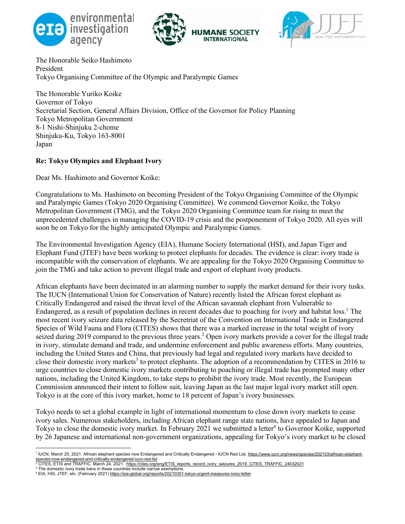





The Honorable Seiko Hashimoto President Tokyo Organising Committee of the Olympic and Paralympic Games

The Honorable Yuriko Koike Governor of Tokyo Secretarial Section, General Affairs Division, Office of the Governor for Policy Planning Tokyo Metropolitan Government 8-1 Nishi-Shinjuku 2-chome Shinjuku-Ku, Tokyo 163-8001 Japan

## **Re: Tokyo Olympics and Elephant Ivory**

Dear Ms. Hashimoto and Governor Koike:

Congratulations to Ms. Hashimoto on becoming President of the Tokyo Organising Committee of the Olympic and Paralympic Games (Tokyo 2020 Organising Committee). We commend Governor Koike, the Tokyo Metropolitan Government (TMG), and the Tokyo 2020 Organising Committee team for rising to meet the unprecedented challenges in managing the COVID-19 crisis and the postponement of Tokyo 2020. All eyes will soon be on Tokyo for the highly anticipated Olympic and Paralympic Games.

The Environmental Investigation Agency (EIA), Humane Society International (HSI), and Japan Tiger and Elephant Fund (JTEF) have been working to protect elephants for decades. The evidence is clear: ivory trade is incompatible with the conservation of elephants. We are appealing for the Tokyo 2020 Organising Committee to join the TMG and take action to prevent illegal trade and export of elephant ivory products.

African elephants have been decimated in an alarming number to supply the market demand for their ivory tusks. The IUCN (International Union for Conservation of Nature) recently listed the African forest elephant as Critically Endangered and raised the threat level of the African savannah elephant from Vulnerable to Endangered, as a result of population declines in recent decades due to poaching for ivory and habitat loss.<sup>1</sup> The most recent ivory seizure data released by the Secretriat of the Convention on International Trade in Endangered Species of Wild Fauna and Flora (CITES) shows that there was a marked increase in the total weight of ivory seized during 2019 compared to the previous three years.<sup>2</sup> Open ivory markets provide a cover for the illegal trade in ivory, stimulate demand and trade, and undermine enforcement and public awareness efforts. Many countries, including the United States and China, that previously had legal and regulated ivory markets have decided to close their domestic ivory markets<sup>3</sup> to protect elephants. The adoption of a recommendation by CITES in 2016 to urge countries to close domestic ivory markets contributing to poaching or illegal trade has prompted many other nations, including the United Kingdom, to take steps to prohibit the ivory trade. Most recently, the European Commission announced their intent to follow suit, leaving Japan as the last major legal ivory market still open. Tokyo is at the core of this ivory market, home to 18 percent of Japan's ivory businesses.

Tokyo needs to set a global example in light of international momentum to close down ivory markets to cease ivory sales. Numerous stakeholders, including African elephant range state nations, have appealed to Japan and Tokyo to close the domestic ivory market. In February 2021 we submitted a letter<sup>4</sup> to Governor Koike, supported by 26 Japanese and international non-government organizations, appealing for Tokyo's ivory market to be closed

<sup>&</sup>lt;sup>1</sup> IUCN. March 25, 2021. African elephant species now Endangered and Critically Endangered - IUCN Red List. https://www.iucn.org/news/species/202103/african-elephant-<u>species-now-endangered-and-critically-endangered-iucn-red-list</u><br><sup>2</sup> CITES, ETIS and TRAFFIC. March 24, 2021. <u>https://cites.org/eng/ETIS\_reports\_record\_ivory\_seizures\_2019\_CITES\_TRAFFIC\_24032021</u>

<sup>3</sup> The domestic ivory trade bans in these countries include narrow exemptions.<br>4 EIA, HSI, JTEF, etc. (February 2021) https://eia-global.org/reports/20210301-tokyo-urgent-measures-ivory-letter